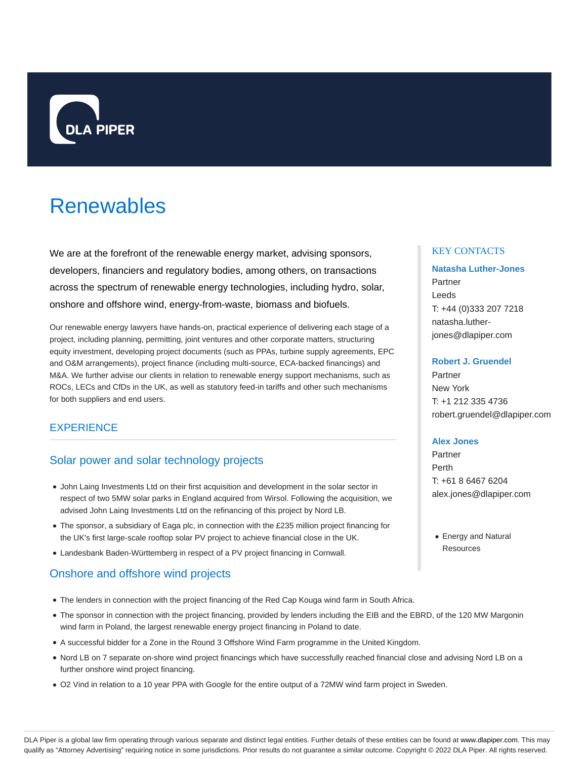

# Renewables

We are at the forefront of the renewable energy market, advising sponsors, developers, financiers and regulatory bodies, among others, on transactions across the spectrum of renewable energy technologies, including hydro, solar, onshore and offshore wind, energy-from-waste, biomass and biofuels.

Our renewable energy lawyers have hands-on, practical experience of delivering each stage of a project, including planning, permitting, joint ventures and other corporate matters, structuring equity investment, developing project documents (such as PPAs, turbine supply agreements, EPC and O&M arrangements), project finance (including multi-source, ECA-backed financings) and M&A. We further advise our clients in relation to renewable energy support mechanisms, such as ROCs, LECs and CfDs in the UK, as well as statutory feed-in tariffs and other such mechanisms for both suppliers and end users.

# **EXPERIENCE**

# Solar power and solar technology projects

- John Laing Investments Ltd on their first acquisition and development in the solar sector in respect of two 5MW solar parks in England acquired from Wirsol. Following the acquisition, we advised John Laing Investments Ltd on the refinancing of this project by Nord LB.
- The sponsor, a subsidiary of Eaga plc, in connection with the £235 million project financing for the UK's first large-scale rooftop solar PV project to achieve financial close in the UK.
- Landesbank Baden-Württemberg in respect of a PV project financing in Cornwall.

# Onshore and offshore wind projects

- The lenders in connection with the project financing of the Red Cap Kouga wind farm in South Africa.
- The sponsor in connection with the project financing, provided by lenders including the EIB and the EBRD, of the 120 MW Margonin wind farm in Poland, the largest renewable energy project financing in Poland to date.
- A successful bidder for a Zone in the Round 3 Offshore Wind Farm programme in the United Kingdom.
- Nord LB on 7 separate on-shore wind project financings which have successfully reached financial close and advising Nord LB on a further onshore wind project financing.
- O2 Vind in relation to a 10 year PPA with Google for the entire output of a 72MW wind farm project in Sweden.

### KEY CONTACTS

# **Natasha Luther-Jones** Partner Leeds T: +44 (0)333 207 7218 natasha.lutherjones@dlapiper.com

### **Robert J. Gruendel**

Partner New York T: +1 212 335 4736 robert.gruendel@dlapiper.com

### **Alex Jones**

Partner Perth T: +61 8 6467 6204 alex.jones@dlapiper.com

Energy and Natural **Resources**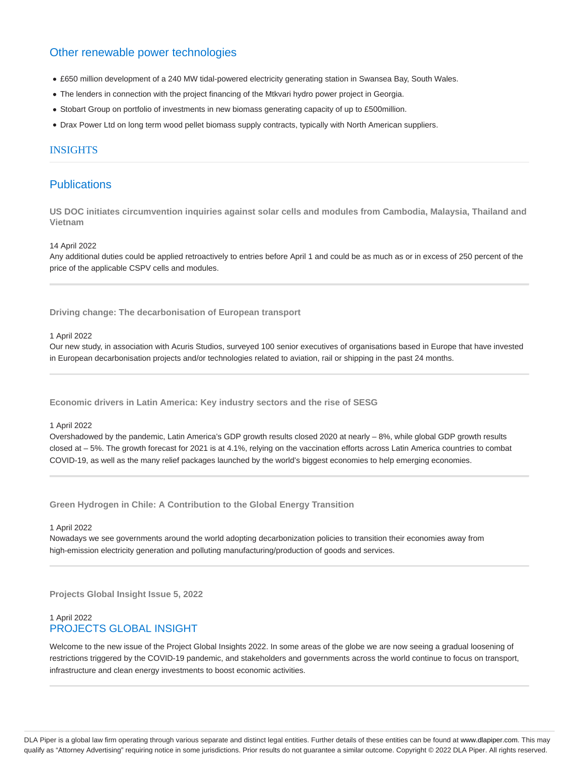# Other renewable power technologies

- £650 million development of a 240 MW tidal-powered electricity generating station in Swansea Bay, South Wales.
- The lenders in connection with the project financing of the Mtkvari hydro power project in Georgia.
- Stobart Group on portfolio of investments in new biomass generating capacity of up to £500million.
- Drax Power Ltd on long term wood pellet biomass supply contracts, typically with North American suppliers.

### INSIGHTS

# **Publications**

**US DOC initiates circumvention inquiries against solar cells and modules from Cambodia, Malaysia, Thailand and Vietnam**

14 April 2022

Any additional duties could be applied retroactively to entries before April 1 and could be as much as or in excess of 250 percent of the price of the applicable CSPV cells and modules.

**Driving change: The decarbonisation of European transport**

#### 1 April 2022

Our new study, in association with Acuris Studios, surveyed 100 senior executives of organisations based in Europe that have invested in European decarbonisation projects and/or technologies related to aviation, rail or shipping in the past 24 months.

**Economic drivers in Latin America: Key industry sectors and the rise of SESG**

#### 1 April 2022

Overshadowed by the pandemic, Latin America's GDP growth results closed 2020 at nearly – 8%, while global GDP growth results closed at – 5%. The growth forecast for 2021 is at 4.1%, relying on the vaccination efforts across Latin America countries to combat COVID-19, as well as the many relief packages launched by the world's biggest economies to help emerging economies.

**Green Hydrogen in Chile: A Contribution to the Global Energy Transition**

#### 1 April 2022

Nowadays we see governments around the world adopting decarbonization policies to transition their economies away from high-emission electricity generation and polluting manufacturing/production of goods and services.

**Projects Global Insight Issue 5, 2022**

### 1 April 2022 PROJECTS GLOBAL INSIGHT

Welcome to the new issue of the Project Global Insights 2022. In some areas of the globe we are now seeing a gradual loosening of restrictions triggered by the COVID-19 pandemic, and stakeholders and governments across the world continue to focus on transport, infrastructure and clean energy investments to boost economic activities.

DLA Piper is a global law firm operating through various separate and distinct legal entities. Further details of these entities can be found at www.dlapiper.com. This may qualify as "Attorney Advertising" requiring notice in some jurisdictions. Prior results do not guarantee a similar outcome. Copyright @ 2022 DLA Piper. All rights reserved.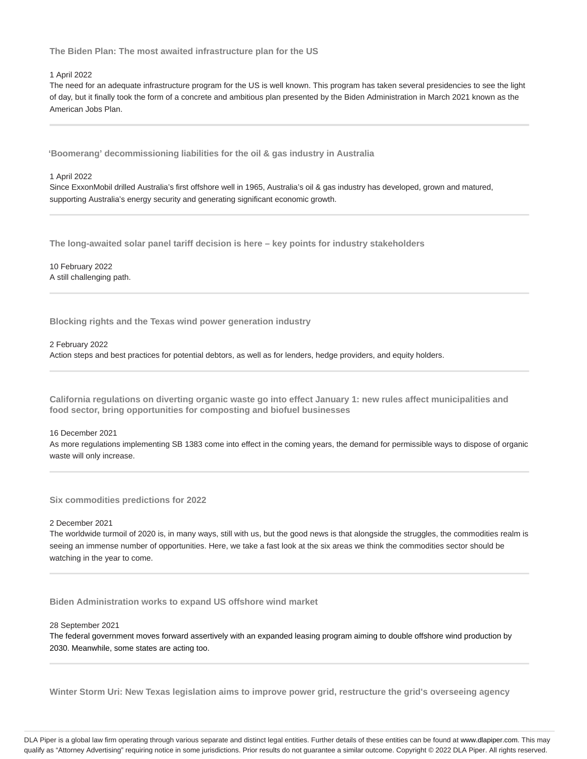**The Biden Plan: The most awaited infrastructure plan for the US**

#### 1 April 2022

The need for an adequate infrastructure program for the US is well known. This program has taken several presidencies to see the light of day, but it finally took the form of a concrete and ambitious plan presented by the Biden Administration in March 2021 known as the American Jobs Plan.

**'Boomerang' decommissioning liabilities for the oil & gas industry in Australia**

#### 1 April 2022

Since ExxonMobil drilled Australia's first offshore well in 1965, Australia's oil & gas industry has developed, grown and matured, supporting Australia's energy security and generating significant economic growth.

**The long-awaited solar panel tariff decision is here – key points for industry stakeholders**

10 February 2022 A still challenging path.

**Blocking rights and the Texas wind power generation industry**

#### 2 February 2022

Action steps and best practices for potential debtors, as well as for lenders, hedge providers, and equity holders.

**California regulations on diverting organic waste go into effect January 1: new rules affect municipalities and food sector, bring opportunities for composting and biofuel businesses**

#### 16 December 2021

As more regulations implementing SB 1383 come into effect in the coming years, the demand for permissible ways to dispose of organic waste will only increase.

**Six commodities predictions for 2022**

#### 2 December 2021

The worldwide turmoil of 2020 is, in many ways, still with us, but the good news is that alongside the struggles, the commodities realm is seeing an immense number of opportunities. Here, we take a fast look at the six areas we think the commodities sector should be watching in the year to come.

**Biden Administration works to expand US offshore wind market**

28 September 2021

The federal government moves forward assertively with an expanded leasing program aiming to double offshore wind production by 2030. Meanwhile, some states are acting too.

**Winter Storm Uri: New Texas legislation aims to improve power grid, restructure the grid's overseeing agency**

DLA Piper is a global law firm operating through various separate and distinct legal entities. Further details of these entities can be found at www.dlapiper.com. This may qualify as "Attorney Advertising" requiring notice in some jurisdictions. Prior results do not guarantee a similar outcome. Copyright @ 2022 DLA Piper. All rights reserved.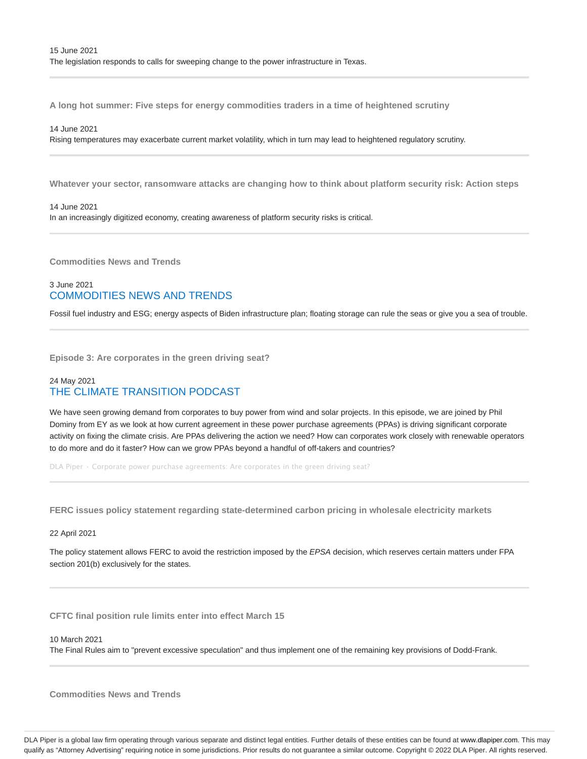**A long hot summer: Five steps for energy commodities traders in a time of heightened scrutiny**

14 June 2021

Rising temperatures may exacerbate current market volatility, which in turn may lead to heightened regulatory scrutiny.

**Whatever your sector, ransomware attacks are changing how to think about platform security risk: Action steps**

14 June 2021

In an increasingly digitized economy, creating awareness of platform security risks is critical.

**Commodities News and Trends**

# 3 June 2021 COMMODITIES NEWS AND TRENDS

Fossil fuel industry and ESG; energy aspects of Biden infrastructure plan; floating storage can rule the seas or give you a sea of trouble.

**Episode 3: Are corporates in the green driving seat?**

# 24 May 2021 THE CLIMATE TRANSITION PODCAST

We have seen growing demand from corporates to buy power from wind and solar projects. In this episode, we are joined by Phil Dominy from EY as we look at how current agreement in these power purchase agreements (PPAs) is driving significant corporate activity on fixing the climate crisis. Are PPAs delivering the action we need? How can corporates work closely with renewable operators to do more and do it faster? How can we grow PPAs beyond a handful of off-takers and countries?

DLA Piper · Corporate power purchase agreements: Are corporates in the green driving seat?

**FERC issues policy statement regarding state-determined carbon pricing in wholesale electricity markets**

#### 22 April 2021

The policy statement allows FERC to avoid the restriction imposed by the EPSA decision, which reserves certain matters under FPA section 201(b) exclusively for the states.

**CFTC final position rule limits enter into effect March 15**

10 March 2021

The Final Rules aim to "prevent excessive speculation" and thus implement one of the remaining key provisions of Dodd-Frank.

**Commodities News and Trends**

DLA Piper is a global law firm operating through various separate and distinct legal entities. Further details of these entities can be found at www.dlapiper.com. This may qualify as "Attorney Advertising" requiring notice in some jurisdictions. Prior results do not guarantee a similar outcome. Copyright © 2022 DLA Piper. All rights reserved.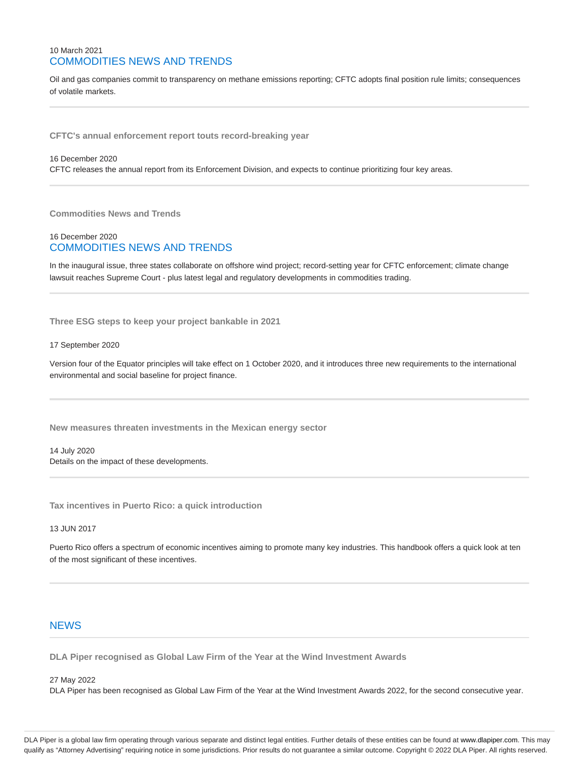### 10 March 2021 COMMODITIES NEWS AND TRENDS

Oil and gas companies commit to transparency on methane emissions reporting; CFTC adopts final position rule limits; consequences of volatile markets.

**CFTC's annual enforcement report touts record-breaking year**

#### 16 December 2020

CFTC releases the annual report from its Enforcement Division, and expects to continue prioritizing four key areas.

**Commodities News and Trends**

### 16 December 2020 COMMODITIES NEWS AND TRENDS

In the inaugural issue, three states collaborate on offshore wind project; record-setting year for CFTC enforcement; climate change lawsuit reaches Supreme Court - plus latest legal and regulatory developments in commodities trading.

**Three ESG steps to keep your project bankable in 2021**

#### 17 September 2020

Version four of the Equator principles will take effect on 1 October 2020, and it introduces three new requirements to the international environmental and social baseline for project finance.

**New measures threaten investments in the Mexican energy sector**

14 July 2020 Details on the impact of these developments.

**Tax incentives in Puerto Rico: a quick introduction**

#### 13 JUN 2017

Puerto Rico offers a spectrum of economic incentives aiming to promote many key industries. This handbook offers a quick look at ten of the most significant of these incentives.

### **NEWS**

**DLA Piper recognised as Global Law Firm of the Year at the Wind Investment Awards**

#### 27 May 2022

DLA Piper has been recognised as Global Law Firm of the Year at the Wind Investment Awards 2022, for the second consecutive year.

DLA Piper is a global law firm operating through various separate and distinct legal entities. Further details of these entities can be found at www.dlapiper.com. This may qualify as "Attorney Advertising" requiring notice in some jurisdictions. Prior results do not guarantee a similar outcome. Copyright @ 2022 DLA Piper. All rights reserved.